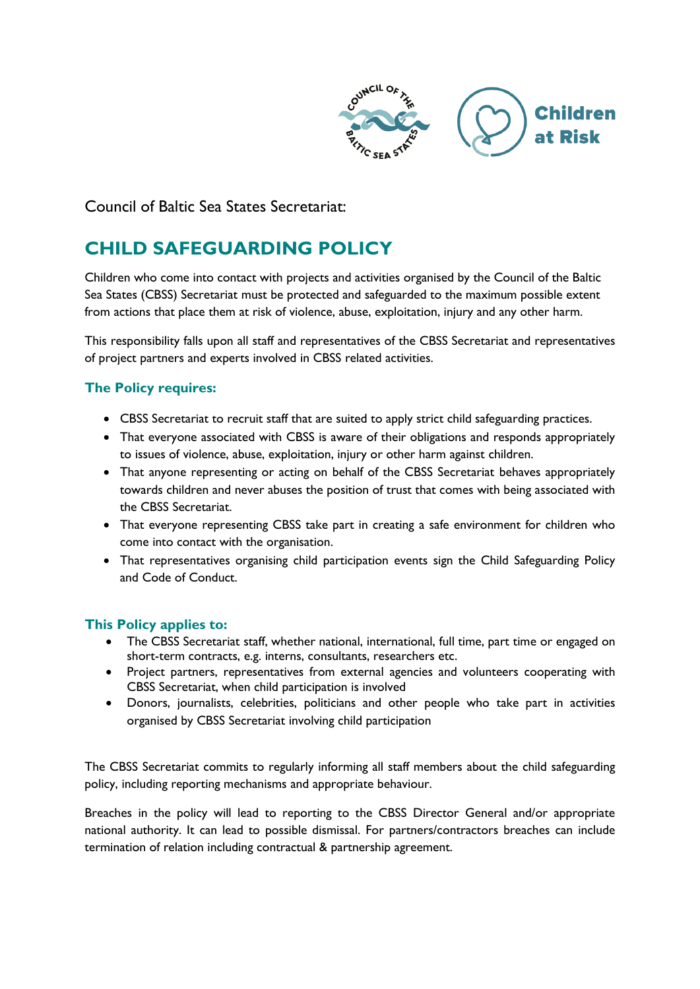

Council of Baltic Sea States Secretariat:

# **CHILD SAFEGUARDING POLICY**

Children who come into contact with projects and activities organised by the Council of the Baltic Sea States (CBSS) Secretariat must be protected and safeguarded to the maximum possible extent from actions that place them at risk of violence, abuse, exploitation, injury and any other harm.

This responsibility falls upon all staff and representatives of the CBSS Secretariat and representatives of project partners and experts involved in CBSS related activities.

## **The Policy requires:**

- CBSS Secretariat to recruit staff that are suited to apply strict child safeguarding practices.
- That everyone associated with CBSS is aware of their obligations and responds appropriately to issues of violence, abuse, exploitation, injury or other harm against children.
- That anyone representing or acting on behalf of the CBSS Secretariat behaves appropriately towards children and never abuses the position of trust that comes with being associated with the CBSS Secretariat.
- That everyone representing CBSS take part in creating a safe environment for children who come into contact with the organisation.
- That representatives organising child participation events sign the Child Safeguarding Policy and Code of Conduct.

## **This Policy applies to:**

- The CBSS Secretariat staff, whether national, international, full time, part time or engaged on short-term contracts, e.g. interns, consultants, researchers etc.
- Project partners, representatives from external agencies and volunteers cooperating with CBSS Secretariat, when child participation is involved
- Donors, journalists, celebrities, politicians and other people who take part in activities organised by CBSS Secretariat involving child participation

The CBSS Secretariat commits to regularly informing all staff members about the child safeguarding policy, including reporting mechanisms and appropriate behaviour.

Breaches in the policy will lead to reporting to the CBSS Director General and/or appropriate national authority. It can lead to possible dismissal. For partners/contractors breaches can include termination of relation including contractual & partnership agreement.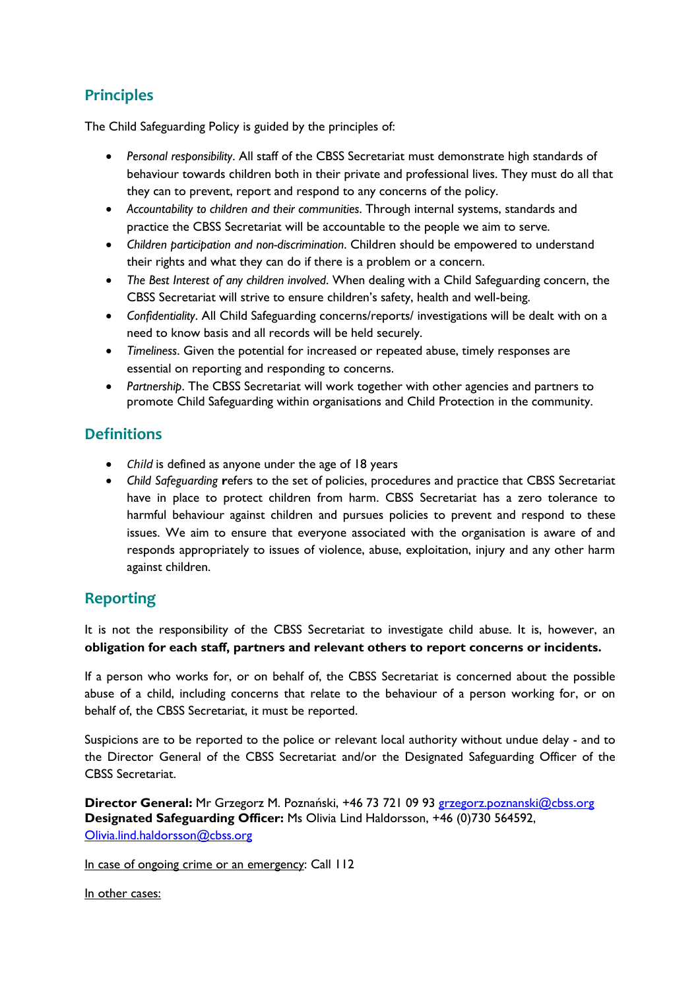# **Principles**

The Child Safeguarding Policy is guided by the principles of:

- *Personal responsibility*. All staff of the CBSS Secretariat must demonstrate high standards of behaviour towards children both in their private and professional lives. They must do all that they can to prevent, report and respond to any concerns of the policy.
- *Accountability to children and their communities*. Through internal systems, standards and practice the CBSS Secretariat will be accountable to the people we aim to serve.
- *Children participation and non-discrimination*. Children should be empowered to understand their rights and what they can do if there is a problem or a concern.
- *The Best Interest of any children involved*. When dealing with a Child Safeguarding concern, the CBSS Secretariat will strive to ensure children's safety, health and well-being.
- *Confidentiality*. All Child Safeguarding concerns/reports/ investigations will be dealt with on a need to know basis and all records will be held securely.
- *Timeliness*. Given the potential for increased or repeated abuse, timely responses are essential on reporting and responding to concerns.
- *Partnership*. The CBSS Secretariat will work together with other agencies and partners to promote Child Safeguarding within organisations and Child Protection in the community.

# **Definitions**

- *Child* is defined as anyone under the age of 18 years
- *Child Safeguarding* **r**efers to the set of policies, procedures and practice that CBSS Secretariat have in place to protect children from harm. CBSS Secretariat has a zero tolerance to harmful behaviour against children and pursues policies to prevent and respond to these issues. We aim to ensure that everyone associated with the organisation is aware of and responds appropriately to issues of violence, abuse, exploitation, injury and any other harm against children.

# **Reporting**

It is not the responsibility of the CBSS Secretariat to investigate child abuse. It is, however, an **obligation for each staff, partners and relevant others to report concerns or incidents.**

If a person who works for, or on behalf of, the CBSS Secretariat is concerned about the possible abuse of a child, including concerns that relate to the behaviour of a person working for, or on behalf of, the CBSS Secretariat, it must be reported.

Suspicions are to be reported to the police or relevant local authority without undue delay - and to the Director General of the CBSS Secretariat and/or the Designated Safeguarding Officer of the CBSS Secretariat.

**Director General:** Mr Grzegorz M. Poznański, +46 73 721 09 93 [grzegorz.poznanski@cbss.org](mailto:grzegorz.poznanski@cbss.org) **Designated Safeguarding Officer:** Ms Olivia Lind Haldorsson, +46 (0)730 564592, [Olivia.lind.haldorsson@cbss.org](mailto:Olivia.lind.haldorsson@cbss.org)

In case of ongoing crime or an emergency: Call 112

In other cases: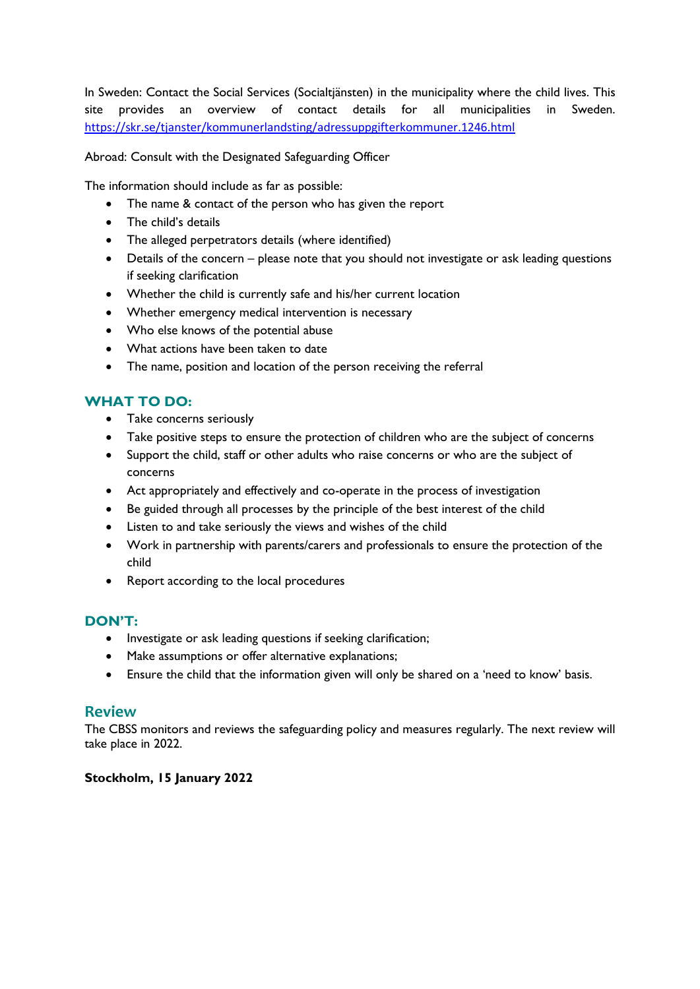In Sweden: Contact the Social Services (Socialtjänsten) in the municipality where the child lives. This site provides an overview of contact details for all municipalities in Sweden. <https://skr.se/tjanster/kommunerlandsting/adressuppgifterkommuner.1246.html>

Abroad: Consult with the Designated Safeguarding Officer

The information should include as far as possible:

- The name & contact of the person who has given the report
- The child's details
- The alleged perpetrators details (where identified)
- Details of the concern please note that you should not investigate or ask leading questions if seeking clarification
- Whether the child is currently safe and his/her current location
- Whether emergency medical intervention is necessary
- Who else knows of the potential abuse
- What actions have been taken to date
- The name, position and location of the person receiving the referral

# **WHAT TO DO:**

- Take concerns seriously
- Take positive steps to ensure the protection of children who are the subject of concerns
- Support the child, staff or other adults who raise concerns or who are the subject of concerns
- Act appropriately and effectively and co-operate in the process of investigation
- Be guided through all processes by the principle of the best interest of the child
- Listen to and take seriously the views and wishes of the child
- Work in partnership with parents/carers and professionals to ensure the protection of the child
- Report according to the local procedures

## **DON'T:**

- Investigate or ask leading questions if seeking clarification;
- Make assumptions or offer alternative explanations;
- Ensure the child that the information given will only be shared on a 'need to know' basis.

## **Review**

The CBSS monitors and reviews the safeguarding policy and measures regularly. The next review will take place in 2022.

#### **Stockholm, 15 January 2022**